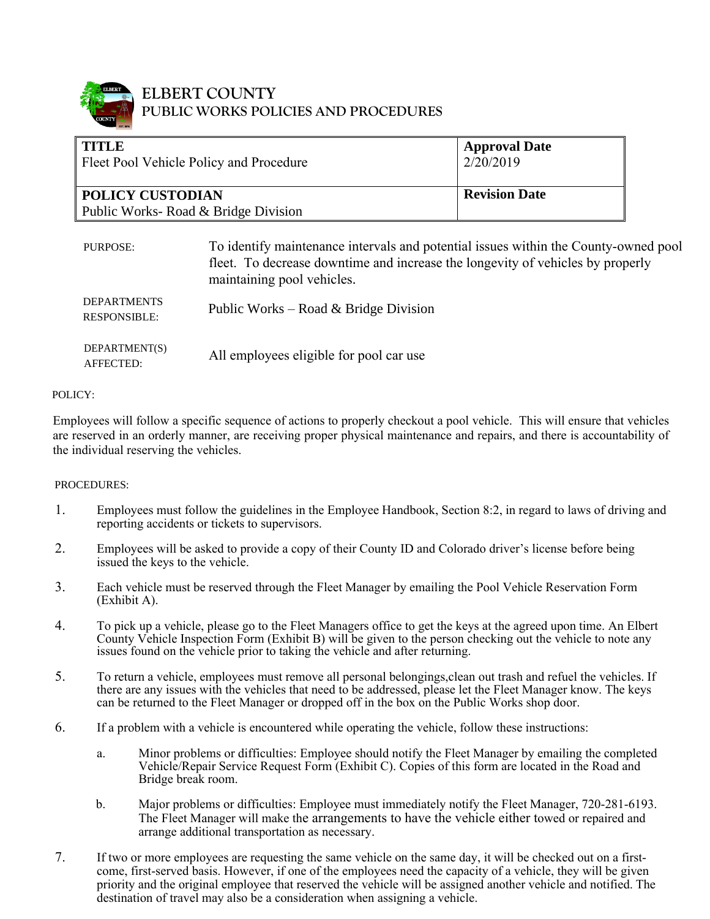

### **ELBERT COUNTY PUBLIC WORKS POLICIES AND PROCEDURES**

| <b>TITLE</b><br>Fleet Pool Vehicle Policy and Procedure |                                                                                                                                                                                                     | <b>Approval Date</b><br>2/20/2019 |  |
|---------------------------------------------------------|-----------------------------------------------------------------------------------------------------------------------------------------------------------------------------------------------------|-----------------------------------|--|
| <b>POLICY CUSTODIAN</b>                                 |                                                                                                                                                                                                     | <b>Revision Date</b>              |  |
| Public Works-Road & Bridge Division                     |                                                                                                                                                                                                     |                                   |  |
| PURPOSE:                                                | To identify maintenance intervals and potential issues within the County-owned pool<br>fleet. To decrease downtime and increase the longevity of vehicles by properly<br>maintaining pool vehicles. |                                   |  |
| <b>DEPARTMENTS</b><br><b>RESPONSIBLE:</b>               | Public Works – Road & Bridge Division                                                                                                                                                               |                                   |  |
| DEPARTMENT(S)<br>AFFECTED:                              | All employees eligible for pool car use                                                                                                                                                             |                                   |  |

#### POLICY:

Employees will follow a specific sequence of actions to properly checkout a pool vehicle. This will ensure that vehicles are reserved in an orderly manner, are receiving proper physical maintenance and repairs, and there is accountability of the individual reserving the vehicles.

#### PROCEDURES:

- 1. Employees must follow the guidelines in the Employee Handbook, Section 8:2, in regard to laws of driving and reporting accidents or tickets to supervisors.
- 2. Employees will be asked to provide a copy of their County ID and Colorado driver's license before being issued the keys to the vehicle.
- 3. Each vehicle must be reserved through the Fleet Manager by emailing the Pool Vehicle Reservation Form (Exhibit A).
- 4. To pick up a vehicle, please go to the Fleet Managers office to get the keys at the agreed upon time. An Elbert County Vehicle Inspection Form (Exhibit B) will be given to the person checking out the vehicle to note any issues found on the vehicle prior to taking the vehicle and after returning.
- 5. To return a vehicle, employees must remove all personal belongings,clean out trash and refuel the vehicles. If there are any issues with the vehicles that need to be addressed, please let the Fleet Manager know. The keys can be returned to the Fleet Manager or dropped off in the box on the Public Works shop door.
- 6. If a problem with a vehicle is encountered while operating the vehicle, follow these instructions:
	- a. Minor problems or difficulties: Employee should notify the Fleet Manager by emailing the completed Vehicle/Repair Service Request Form (Exhibit C). Copies of this form are located in the Road and Bridge break room.
	- b. Major problems or difficulties: Employee must immediately notify the Fleet Manager, 720-281-6193. The Fleet Manager will make the arrangements to have the vehicle either towed or repaired and arrange additional transportation as necessary.
- 7. If two or more employees are requesting the same vehicle on the same day, it will be checked out on a firstcome, first-served basis. However, if one of the employees need the capacity of a vehicle, they will be given priority and the original employee that reserved the vehicle will be assigned another vehicle and notified. The destination of travel may also be a consideration when assigning a vehicle.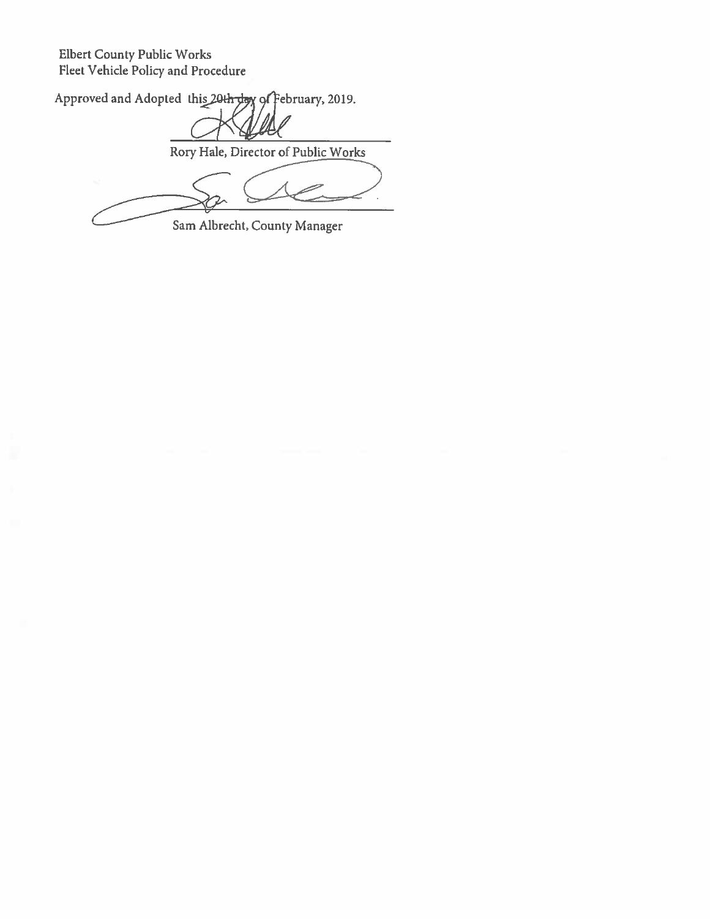Elbert County Public Works Fleet Vehicle Policy and Procedure

Approved and Adopted this 20th day of February, 2019.

Rory Hale, Director of Public Works

Sam Albrecht, County Manager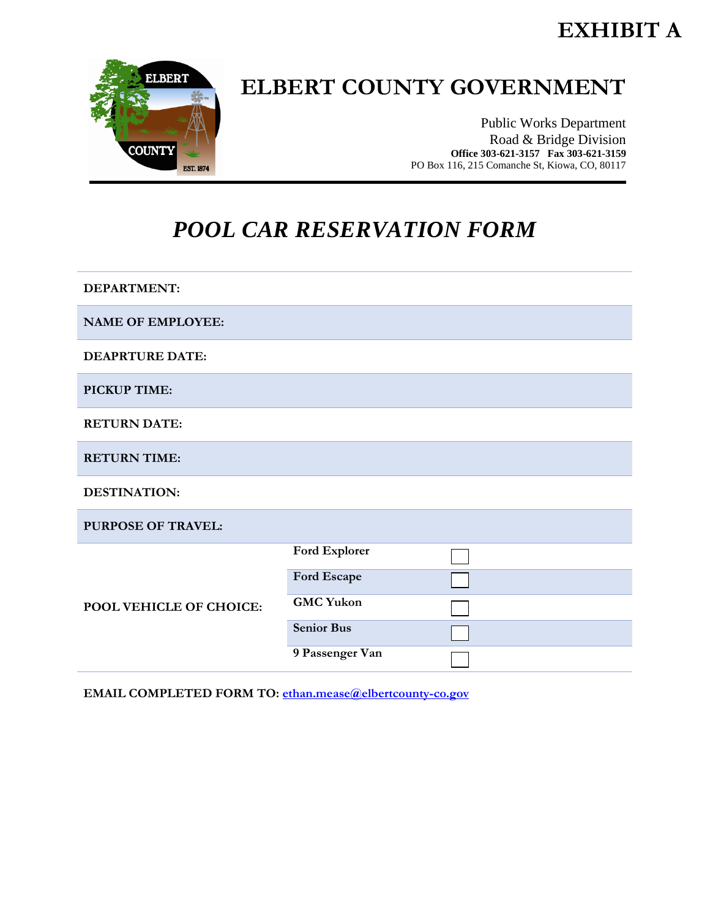## **EXHIBIT A**



# **ELBERT COUNTY GOVERNMENT**

Public Works Department Road & Bridge Division **Office 303-621-3157 Fax 303-621-3159** PO Box 116, 215 Comanche St, Kiowa, CO, 80117

## *POOL CAR RESERVATION FORM*

**DEPARTMENT: NAME OF EMPLOYEE: DEAPRTURE DATE: PICKUP TIME: RETURN DATE: RETURN TIME: DESTINATION: PURPOSE OF TRAVEL: POOL VEHICLE OF CHOICE: Ford Explorer Ford Escape GMC Yukon Senior Bus 9 Passenger Van**

**EMAIL COMPLETED FORM TO:** [ethan.mease@elbertcounty-co.gov](mailto:ethan.mease@elbertcounty-co.gov)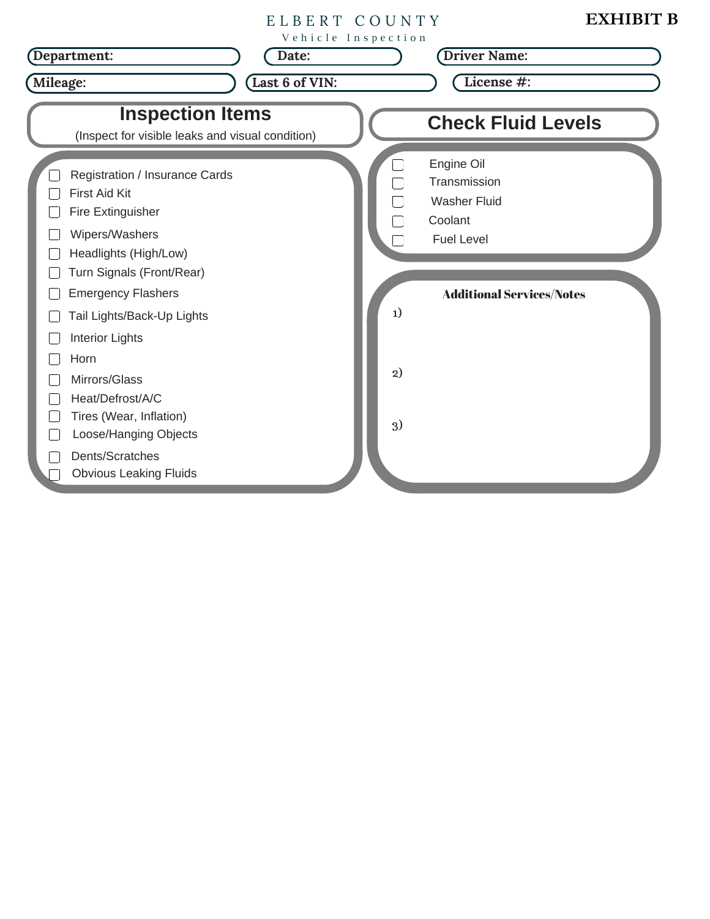